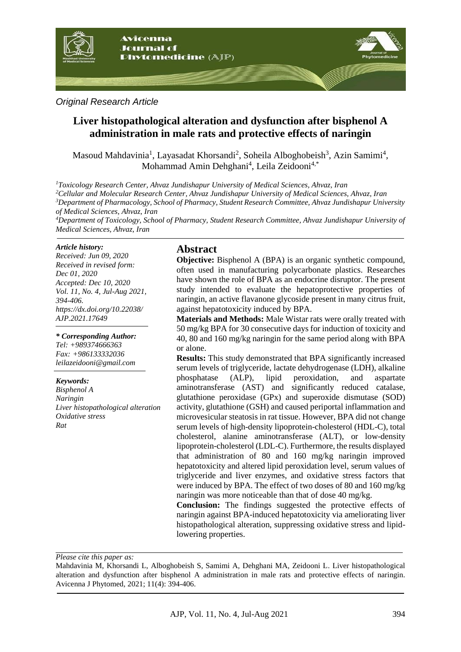

*Original Research Article*

# **Liver histopathological alteration and dysfunction after bisphenol A administration in male rats and protective effects of naringin**

Masoud Mahdavinia<sup>1</sup>, Layasadat Khorsandi<sup>2</sup>, Soheila Alboghobeish<sup>3</sup>, Azin Samimi<sup>4</sup>, Mohammad Amin Dehghani<sup>4</sup>, Leila Zeidooni<sup>4,\*</sup>

*Toxicology Research Center, Ahvaz Jundishapur University of Medical Sciences, Ahvaz, Iran Cellular and Molecular Research Center, Ahvaz Jundishapur University of Medical Sciences, Ahvaz, Iran Department of Pharmacology, School of Pharmacy, Student Research Committee, Ahvaz Jundishapur University of Medical Sciences, Ahvaz, Iran*

*<sup>4</sup>Department of Toxicology, School of Pharmacy, Student Research Committee, Ahvaz Jundishapur University of Medical Sciences, Ahvaz, Iran*

#### *Article history:*

*Received: Jun 09, 2020 Received in revised form: Dec 01, 2020 Accepted: Dec 10, 2020 Vol. 11, No. 4, Jul-Aug 2021, 394-406. https://dx.doi.org/10.22038/ AJP.2021.17649*

*\* Corresponding Author: Tel: +989374666363 Fax: +986133332036 [leilazeidooni@gmail.com](mailto:leilazeidooni@gmail.com)*

#### *Keywords:*

*Bisphenol A Naringin Liver histopathological alteration Oxidative stress Rat*

### **Abstract**

**Objective:** Bisphenol A (BPA) is an organic synthetic compound, often used in manufacturing polycarbonate plastics. Researches have shown the role of BPA as an endocrine disruptor. The present study intended to evaluate the hepatoprotective properties of naringin, an active flavanone glycoside present in many citrus fruit, against hepatotoxicity induced by BPA.

**Materials and Methods:** Male Wistar rats were orally treated with 50 mg/kg BPA for 30 consecutive days for induction of toxicity and 40, 80 and 160 mg/kg naringin for the same period along with BPA or alone.

**Results:** This study demonstrated that BPA significantly increased serum levels of triglyceride, lactate dehydrogenase (LDH), alkaline phosphatase (ALP), lipid peroxidation, and aspartate aminotransferase (AST) and significantly reduced catalase, glutathione peroxidase (GPx) and superoxide dismutase (SOD) activity, glutathione (GSH) and caused periportal inflammation and microvesicular steatosis in rat tissue. However, BPA did not change serum levels of high-density lipoprotein-cholesterol (HDL-C), total cholesterol, alanine aminotransferase (ALT), or low-density lipoprotein-cholesterol (LDL-C). Furthermore, the results displayed that administration of 80 and 160 mg/kg naringin improved hepatotoxicity and altered lipid peroxidation level, serum values of triglyceride and liver enzymes, and oxidative stress factors that were induced by BPA. The effect of two doses of 80 and 160 mg/kg naringin was more noticeable than that of dose 40 mg/kg.

**Conclusion:** The findings suggested the protective effects of naringin against BPA-induced hepatotoxicity via ameliorating liver histopathological alteration, suppressing oxidative stress and lipidlowering properties.

*Please cite this paper as:* 

Mahdavinia M, Khorsandi L, Alboghobeish S, Samimi A, Dehghani MA, Zeidooni L. Liver histopathological alteration and dysfunction after bisphenol A administration in male rats and protective effects of naringin. Avicenna J Phytomed, 2021; 11(4): 394-406.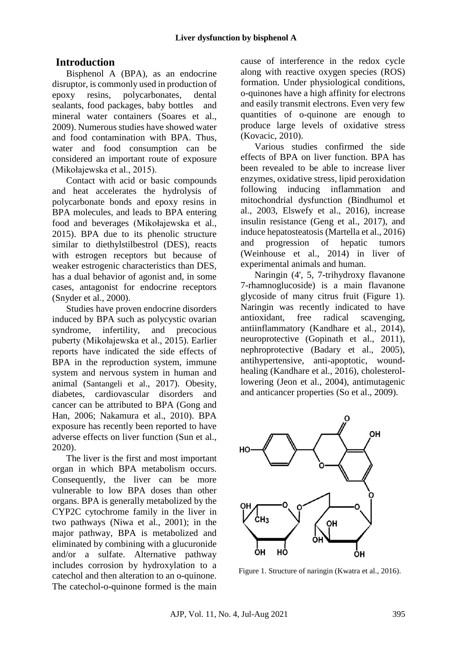# **Introduction**

Bisphenol A (BPA), as an endocrine disruptor, is commonly used in production of epoxy resins, polycarbonates, dental sealants, food packages, baby bottles and mineral water containers (Soares et al., 2009). Numerous studies have showed water and food contamination with BPA. Thus, water and food consumption can be considered an important route of exposure (Mikołajewska et al., 2015).

Contact with acid or basic compounds and heat accelerates the hydrolysis of polycarbonate bonds and epoxy resins in BPA molecules, and leads to BPA entering food and beverages (Mikołajewska et al., 2015). BPA due to its phenolic structure similar to diethylstilbestrol (DES), reacts with estrogen receptors but because of weaker estrogenic characteristics than DES, has a dual behavior of agonist and, in some cases, antagonist for endocrine receptors (Snyder et al., 2000).

Studies have proven endocrine disorders induced by BPA such as polycystic ovarian syndrome, infertility, and precocious puberty (Mikołajewska et al., 2015). Earlier reports have indicated the side effects of BPA in the reproduction system, immune system and nervous system in human and animal (Santangeli et al., 2017). Obesity, diabetes, cardiovascular disorders and cancer can be attributed to BPA (Gong and Han, 2006; Nakamura et al., 2010). BPA exposure has recently been reported to have adverse effects on liver function (Sun et al., 2020).

The liver is the first and most important organ in which BPA metabolism occurs. Consequently, the liver can be more vulnerable to low BPA doses than other organs. BPA is generally metabolized by the CYP2C cytochrome family in the liver in two pathways (Niwa et al., 2001); in the major pathway, BPA is metabolized and eliminated by combining with a glucuronide and/or a sulfate. Alternative pathway includes corrosion by hydroxylation to a catechol and then alteration to an o-quinone. The catechol-o-quinone formed is the main cause of interference in the redox cycle along with reactive oxygen species (ROS) formation. Under physiological conditions, o-quinones have a high affinity for electrons and easily transmit electrons. Even very few quantities of o-quinone are enough to produce large levels of oxidative stress (Kovacic, 2010).

Various studies confirmed the side effects of BPA on liver function. BPA has been revealed to be able to increase liver enzymes, oxidative stress, lipid peroxidation following inducing inflammation and mitochondrial dysfunction (Bindhumol et al., 2003, Elswefy et al., 2016), increase insulin resistance (Geng et al., 2017), and induce hepatosteatosis (Martella et al., 2016) and progression of hepatic tumors (Weinhouse et al., 2014) in liver of experimental animals and human.

Naringin (4', 5, 7-trihydroxy flavanone 7-rhamnoglucoside) is a main flavanone glycoside of many citrus fruit (Figure 1). Naringin was recently indicated to have antioxidant, free radical scavenging, antiinflammatory (Kandhare et al., 2014), neuroprotective (Gopinath et al., 2011), nephroprotective (Badary et al., 2005), antihypertensive, anti-apoptotic, woundhealing (Kandhare et al., 2016), cholesterollowering (Jeon et al., 2004), antimutagenic and anticancer properties (So et al., 2009).



Figure 1. Structure of naringin (Kwatra et al., 2016).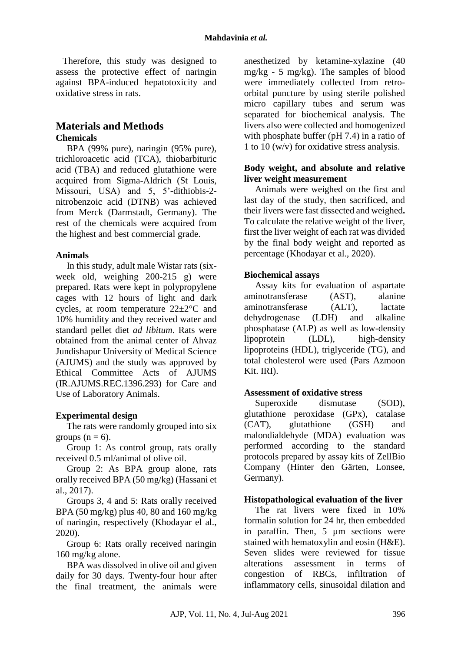Therefore, this study was designed to assess the protective effect of naringin against BPA-induced hepatotoxicity and oxidative stress in rats.

## **Materials and Methods Chemicals**

BPA (99% pure), naringin (95% pure), trichloroacetic acid (TCA), thiobarbituric acid (TBA) and reduced glutathione were acquired from Sigma-Aldrich (St Louis, Missouri, USA) and 5, 5'-dithiobis-2 nitrobenzoic acid (DTNB) was achieved from Merck (Darmstadt, Germany). The rest of the chemicals were acquired from the highest and best commercial grade.

#### **Animals**

In this study, adult male Wistar rats (sixweek old, weighing 200-215 g) were prepared. Rats were kept in polypropylene cages with 12 hours of light and dark cycles, at room temperature 22±2°C and 10% humidity and they received water and standard pellet diet *ad libitum*. Rats were obtained from the animal center of Ahvaz Jundishapur University of Medical Science (AJUMS) and the study was approved by Ethical Committee Acts of AJUMS (IR.AJUMS.REC.1396.293) for Care and Use of Laboratory Animals.

### **Experimental design**

The rats were randomly grouped into six groups  $(n = 6)$ .

Group 1: As control group, rats orally received 0.5 ml/animal of olive oil.

Group 2: As BPA group alone, rats orally received BPA (50 mg/kg) (Hassani et al., 2017).

Groups 3, 4 and 5: Rats orally received BPA (50 mg/kg) plus 40, 80 and 160 mg/kg of naringin, respectively (Khodayar el al., 2020).

Group 6: Rats orally received naringin 160 mg/kg alone.

BPA was dissolved in olive oil and given daily for 30 days. Twenty-four hour after the final treatment, the animals were anesthetized by ketamine-xylazine (40 mg/kg - 5 mg/kg). The samples of blood were immediately collected from retroorbital puncture by using sterile polished micro capillary tubes and serum was separated for biochemical analysis. The livers also were collected and homogenized with phosphate buffer (pH 7.4) in a ratio of 1 to 10 (w/v) for oxidative stress analysis.

#### **Body weight, and absolute and relative liver weight measurement**

Animals were weighed on the first and last day of the study, then sacrificed, and their livers were fast dissected and weighed**.**  To calculate the relative weight of the liver, first the liver weight of each rat was divided by the final body weight and reported as percentage (Khodayar et al., 2020).

### **Biochemical assays**

Assay kits for evaluation of aspartate aminotransferase (AST), alanine aminotransferase (ALT), lactate dehydrogenase (LDH) and alkaline phosphatase (ALP) as well as low-density lipoprotein (LDL), high-density lipoproteins (HDL), triglyceride (TG), and total cholesterol were used (Pars Azmoon Kit. IRI).

### **Assessment of oxidative stress**

Superoxide dismutase (SOD), glutathione peroxidase (GPx), catalase (CAT), glutathione (GSH) and malondialdehyde (MDA) evaluation was performed according to the standard protocols prepared by assay kits of ZellBio Company (Hinter den Gärten, Lonsee, Germany).

### **Histopathological evaluation of the liver**

The rat livers were fixed in 10% formalin solution for 24 hr, then embedded in paraffin. Then, 5 µm sections were stained with hematoxylin and eosin (H&E). Seven slides were reviewed for tissue alterations assessment in terms of congestion of RBCs, infiltration of inflammatory cells, sinusoidal dilation and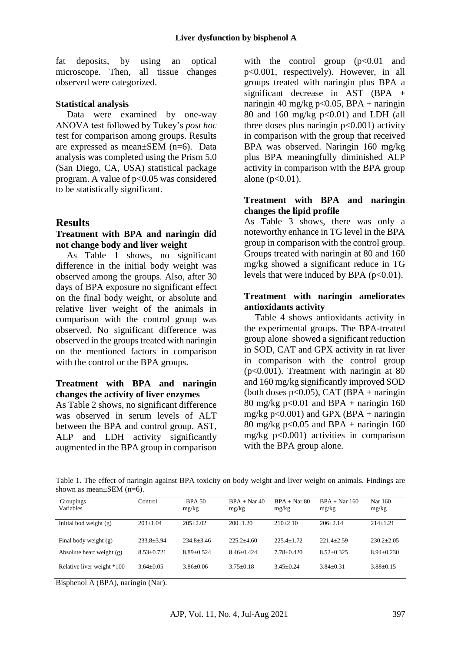fat deposits, by using an optical microscope. Then, all tissue changes observed were categorized.

#### **Statistical analysis**

Data were examined by one-way ANOVA test followed by Tukey's *post hoc* test for comparison among groups. Results are expressed as mean±SEM (n=6). Data analysis was completed using the Prism 5.0 (San Diego, CA, USA) statistical package program. A value of  $p<0.05$  was considered to be statistically significant.

#### **Results**

#### **Treatment with BPA and naringin did not change body and liver weight**

As Table 1 shows, no significant difference in the initial body weight was observed among the groups. Also, after 30 days of BPA exposure no significant effect on the final body weight, or absolute and relative liver weight of the animals in comparison with the control group was observed. No significant difference was observed in the groups treated with naringin on the mentioned factors in comparison with the control or the BPA groups.

#### **Treatment with BPA and naringin changes the activity of liver enzymes**

As Table 2 shows, no significant difference was observed in serum levels of ALT between the BPA and control group. AST, ALP and LDH activity significantly augmented in the BPA group in comparison with the control group  $(p<0.01$  and p<0.001, respectively). However, in all groups treated with naringin plus BPA a significant decrease in AST (BPA + naringin 40 mg/kg p< $0.05$ , BPA + naringin 80 and 160 mg/kg  $p<0.01$  and LDH (all three doses plus naringin  $p<0.001$ ) activity in comparison with the group that received BPA was observed. Naringin 160 mg/kg plus BPA meaningfully diminished ALP activity in comparison with the BPA group alone ( $p < 0.01$ ).

#### **Treatment with BPA and naringin changes the lipid profile**

As Table 3 shows, there was only a noteworthy enhance in TG level in the BPA group in comparison with the control group. Groups treated with naringin at 80 and 160 mg/kg showed a significant reduce in TG levels that were induced by BPA  $(p<0.01)$ .

#### **Treatment with naringin ameliorates antioxidants activity**

Table 4 shows antioxidants activity in the experimental groups. The BPA-treated group alone showed a significant reduction in SOD, CAT and GPX activity in rat liver in comparison with the control group (p<0.001). Treatment with naringin at 80 and 160 mg/kg significantly improved SOD (both doses  $p<0.05$ ), CAT (BPA + naringin 80 mg/kg p< $0.01$  and BPA + naringin 160 mg/kg  $p<0.001$ ) and GPX (BPA + naringin 80 mg/kg p< $0.05$  and BPA + naringin 160 mg/kg  $p<0.001$ ) activities in comparison with the BPA group alone.

Table 1. The effect of naringin against BPA toxicity on body weight and liver weight on animals. Findings are shown as mean $\pm$ SEM (n=6).

| Groupings<br>Variables      | Control        | <b>BPA 50</b><br>mg/kg | $BPA + Nar 40$<br>mg/kg | $BPA + Nar 80$<br>mg/kg | $BPA + Nar 160$<br>mg/kg | Nar 160<br>mg/kg |
|-----------------------------|----------------|------------------------|-------------------------|-------------------------|--------------------------|------------------|
| Initial bod weight $(g)$    | $203+1.04$     | $205+2.02$             | $200+1.20$              | $210+2.10$              | $206+2.14$               | $214+1.21$       |
| Final body weight (g)       | $233.8+3.94$   | $234.8 + 3.46$         | $225.2+4.60$            | $225.4 + 1.72$          | $221.4 + 2.59$           | $230.2+2.05$     |
| Absolute heart weight $(g)$ | $8.53 + 0.721$ | $8.89 + 0.524$         | $8.46 + 0.424$          | $7.78 + 0.420$          | $8.52+0.325$             | $8.94 + 0.230$   |
| Relative liver weight *100  | $3.64 + 0.05$  | $3.86 + 0.06$          | $3.75 + 0.18$           | $3.45 + 0.24$           | $3.84 + 0.31$            | $3.88 + 0.15$    |

Bisphenol A (BPA), naringin (Nar).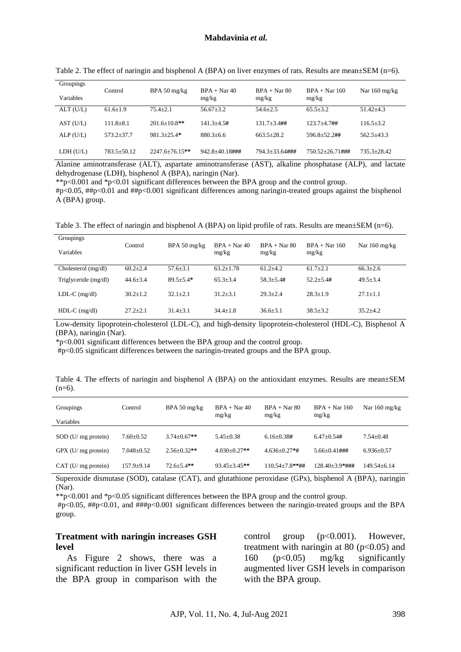| Groupings<br>Variables | Control       | BPA 50 $mg/kg$     | $BPA + Nar 40$<br>mg/kg | $BPA + Nar 80$<br>mg/kg | $BPA + Nar 160$<br>mg/kg | Nar $160 \text{ mg/kg}$ |
|------------------------|---------------|--------------------|-------------------------|-------------------------|--------------------------|-------------------------|
| ALT (U/L)              | $61.6 + 1.9$  | $75.4 + 2.1$       | $56.67 + 3.2$           | $54.6 + 2.5$            | $65.5 + 3.2$             | $51.42 + 4.3$           |
| AST (U/L)              | $111.8 + 8.1$ | $201.6 + 10.8$ **  | $141.3 + 4.5#$          | $131.7 + 3.4$ ##        | $123.7 + 4.7$ ##         | $116.5 + 3.2$           |
| $ALP$ (U/L)            | 573.2+37.7    | $981.3 + 25.4*$    | $880.3 + 6.6$           | $663.5 + 28.2$          | 596.8+52.2##             | $562.5 + 43.3$          |
| LDH (U/L)              | 783.5+50.12   | $2247.6 + 76.15**$ | $942.8 + 40.18$ ###     | 794.3+33.64###          | $750.52 + 26.71$ ###     | $735.3 + 28.42$         |

Table 2. The effect of naringin and bisphenol A (BPA) on liver enzymes of rats. Results are mean $\pm$ SEM (n=6).

Alanine aminotransferase (ALT), aspartate aminotransferase (AST), alkaline phosphatase (ALP), and lactate dehydrogenase (LDH), bisphenol A (BPA), naringin (Nar).

\*\*p<0.001 and \*p<0.01 significant differences between the BPA group and the control group.

#p<0.05, ##p<0.01 and ##p<0.001 significant differences among naringin-treated groups against the bisphenol A (BPA) group.

Table 3. The effect of naringin and bisphenol A (BPA) on lipid profile of rats. Results are mean $\pm$ SEM (n=6).

| Groupings<br>Variables | Control        | $BPA 50$ mg/kg | $BPA + Nar 40$<br>mg/kg | $BPA + Nar 80$<br>mg/kg | $BPA + Nar 160$<br>mg/kg | Nar $160 \text{ mg/kg}$ |
|------------------------|----------------|----------------|-------------------------|-------------------------|--------------------------|-------------------------|
| Cholesterol (mg/dl)    | $60.2 \pm 2.4$ | $57.6 + 3.1$   | $63.2 + 1.78$           | $61.2 + 4.2$            | $61.7 + 2.1$             | $66.3 + 2.6$            |
| Triglyceride (mg/dl)   | $44.6 \pm 3.4$ | $89.5 + 5.4*$  | $65.3 \pm 3.4$          | $58.3 + 5.4#$           | $52.2 + 5.4#$            | $49.5 + 3.4$            |
| $LDL-C$ (mg/dl)        | $30.2 + 1.2$   | $32.1 + 2.1$   | $31.2 + 3.1$            | $29.3 + 2.4$            | $28.3 + 1.9$             | $27.1 + 1.1$            |
| $HDL-C$ (mg/dl)        | $27.2 + 2.1$   | $31.4 + 3.1$   | $34.4 + 1.8$            | $36.6 \pm 3.1$          | $38.5 + 3.2$             | $35.2 + 4.2$            |

Low-density lipoprotein-cholesterol (LDL-C), and high-density lipoprotein-cholesterol (HDL-C), Bisphenol A (BPA), naringin (Nar).

\*p<0.001 significant differences between the BPA group and the control group.

#p<0.05 significant differences between the naringin-treated groups and the BPA group.

Table 4. The effects of naringin and bisphenol A (BPA) on the antioxidant enzymes. Results are mean±SEM  $(n=6)$ .

| Groupings<br>Variables | Control        | BPA 50 mg/kg      | $BPA + Nar 40$<br>mg/kg | $BPA + Nar 80$<br>mg/kg | $BPA + Nar 160$<br>mg/kg | Nar $160 \text{ mg/kg}$ |
|------------------------|----------------|-------------------|-------------------------|-------------------------|--------------------------|-------------------------|
|                        |                |                   |                         |                         |                          |                         |
| $SOD$ (U/ mg protein)  | $7.60+0.52$    | $3.74 + 0.67**$   | $5.45+0.38$             | $6.16 + 0.38#$          | $6.47+0.54#$             | $7.54 + 0.48$           |
| $GPX$ (U/ mg protein)  | $7.048 + 0.52$ | $2.56 \pm 0.32**$ | $4.030+0.27**$          | $4.636 + 0.27*$ #       | $5.66+0.41$ ###          | $6.936+0.57$            |
| CAT (U/mg protein)     | $157.9 + 9.14$ | $72.6 \pm 5.4$ ** | $93.45 + 3.45**$        | $110.54 + 7.8$ **##     | $128.40 + 3.9*$ ###      | 149.54±6.14             |

Superoxide dismutase (SOD), catalase (CAT), and glutathione peroxidase (GPx), bisphenol A (BPA), naringin (Nar).

\*\*p<0.001 and \*p<0.05 significant differences between the BPA group and the control group.

#p<0.05, ##p<0.01, and ###p<0.001 significant differences between the naringin-treated groups and the BPA group.

#### **Treatment with naringin increases GSH level**

As Figure 2 shows, there was a significant reduction in liver GSH levels in the BPA group in comparison with the control group (p<0.001). However, treatment with naringin at 80 ( $p < 0.05$ ) and 160 (p<0.05) mg/kg significantly augmented liver GSH levels in comparison with the BPA group.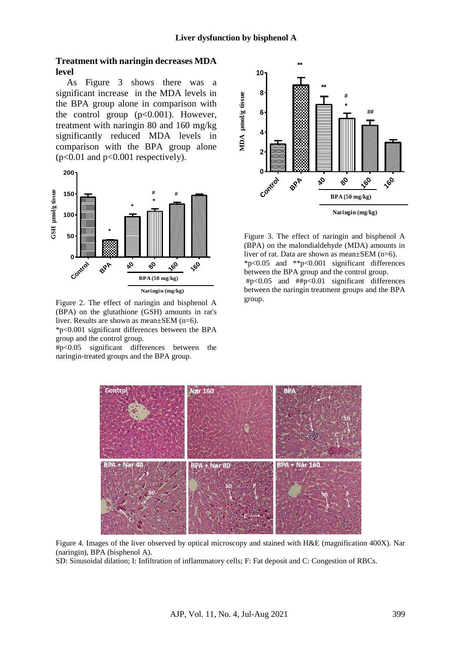#### **Treatment with naringin decreases MDA level**

As Figure 3 shows there was a significant increase in the MDA levels in the BPA group alone in comparison with the control group  $(p<0.001)$ . However, treatment with naringin 80 and 160 mg/kg significantly reduced MDA levels in comparison with the BPA group alone  $(p<0.01$  and  $p<0.001$  respectively).



Figure 2. The effect of naringin and bisphenol A (BPA) on the glutathione (GSH) amounts in rat's liver. Results are shown as mean±SEM (n=6). \*p<0.001 significant differences between the BPA group and the control group.

#p<0.05 significant differences between the naringin-treated groups and the BPA group.



Figure 3. The effect of naringin and bisphenol A (BPA) on the malondialdehyde (MDA) amounts in liver of rat. Data are shown as mean±SEM (n=6). \*p<0.05 and \*\*p<0.001 significant differences between the BPA group and the control group. #p<0.05 and ##p<0.01 significant differences between the naringin treatment groups and the BPA group.



Figure 4. Images of the liver observed by optical microscopy and stained with H&E (magnification 400X). Nar (naringin), BPA (bisphenol A).

SD: Sinusoidal dilation; I: Infiltration of inflammatory cells; F: Fat deposit and C: Congestion of RBCs.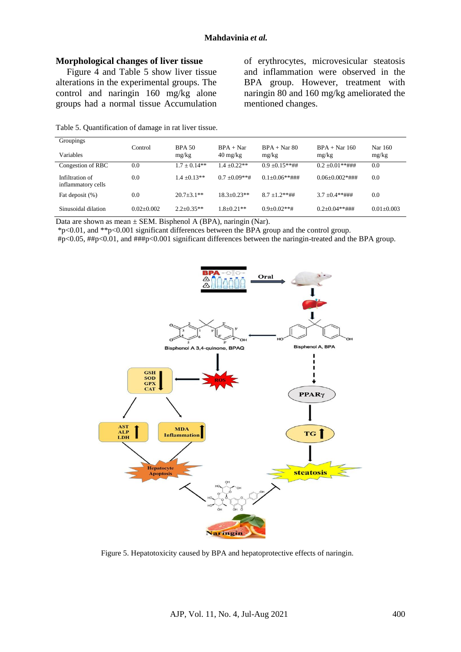#### **Morphological changes of liver tissue**

Figure 4 and Table 5 show liver tissue alterations in the experimental groups. The control and naringin 160 mg/kg alone groups had a normal tissue Accumulation

of erythrocytes, microvesicular steatosis and inflammation were observed in the BPA group. However, treatment with naringin 80 and 160 mg/kg ameliorated the mentioned changes.

| Groupings                             |              |                        |                                                 |                         |                          |                  |
|---------------------------------------|--------------|------------------------|-------------------------------------------------|-------------------------|--------------------------|------------------|
| Variables                             | Control      | <b>BPA 50</b><br>mg/kg | $BPA + Nar$<br>$40 \frac{\text{mg}}{\text{kg}}$ | $BPA + Nar 80$<br>mg/kg | $BPA + Nar 160$<br>mg/kg | Nar 160<br>mg/kg |
| Congestion of RBC                     | 0.0          | $1.7 + 0.14**$         | $1.4 + 0.22**$                                  | $0.9 + 0.15**$ ##       | $0.2 + 0.01**$ ###       | 0.0              |
| Infiltration of<br>inflammatory cells | 0.0          | $1.4 + 0.13**$         | $0.7 + 0.09$ **#                                | $0.1 + 0.06$ **###      | $0.06 + 0.002$ *###      | 0.0              |
| Fat deposit (%)                       | 0.0          | $20.7 + 3.1$ **        | $18.3 + 0.23**$                                 | $8.7 + 1.2$ **##        | $3.7 + 0.4$ **###        | 0.0              |
| Sinusoidal dilation                   | $0.02+0.002$ | $2.2 + 0.35**$         | $1.8 + 0.21**$                                  | $0.9+0.02**$ #          | $0.2+0.04**$ ###         | $0.01 + 0.003$   |

Table 5. Quantification of damage in rat liver tissue.

Data are shown as mean  $\pm$  SEM. Bisphenol A (BPA), naringin (Nar).

\*p<0.01, and \*\*p<0.001 significant differences between the BPA group and the control group.

#p<0.05, ##p<0.01, and ###p<0.001 significant differences between the naringin-treated and the BPA group.



Figure 5. Hepatotoxicity caused by BPA and hepatoprotective effects of naringin.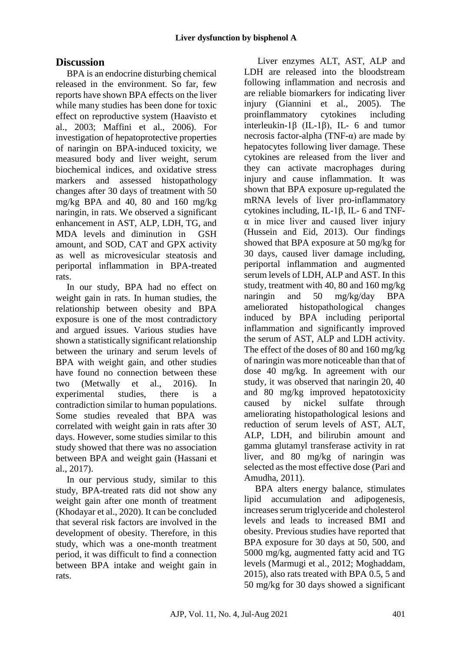# **Discussion**

BPA is an endocrine disturbing chemical released in the environment. So far, few reports have shown BPA effects on the liver while many studies has been done for toxic effect on reproductive system (Haavisto et al., 2003; Maffini et al., 2006). For investigation of hepatoprotective properties of naringin on BPA-induced toxicity, we measured body and liver weight, serum biochemical indices, and oxidative stress markers and assessed histopathology changes after 30 days of treatment with 50 mg/kg BPA and 40, 80 and 160 mg/kg naringin, in rats. We observed a significant enhancement in AST, ALP, LDH, TG, and MDA levels and diminution in GSH amount, and SOD, CAT and GPX activity as well as microvesicular steatosis and periportal inflammation in BPA-treated rats.

In our study, BPA had no effect on weight gain in rats. In human studies, the relationship between obesity and BPA exposure is one of the most contradictory and argued issues. Various studies have shown a statistically significant relationship between the urinary and serum levels of BPA with weight gain, and other studies have found no connection between these two (Metwally et al., 2016). In experimental studies, there is a contradiction similar to human populations. Some studies revealed that BPA was correlated with weight gain in rats after 30 days. However, some studies similar to this study showed that there was no association between BPA and weight gain (Hassani et al., 2017).

In our pervious study, similar to this study, BPA-treated rats did not show any weight gain after one month of treatment (Khodayar et al., 2020). It can be concluded that several risk factors are involved in the development of obesity. Therefore, in this study, which was a one-month treatment period, it was difficult to find a connection between BPA intake and weight gain in rats.

Liver enzymes ALT, AST, ALP and LDH are released into the bloodstream following inflammation and necrosis and are reliable biomarkers for indicating liver injury (Giannini et al., 2005). The proinflammatory cytokines including interleukin-1β (IL-1β), IL- 6 and tumor necrosis factor-alpha (TNF-α) are made by hepatocytes following liver damage. These cytokines are released from the liver and they can activate macrophages during injury and cause inflammation. It was shown that BPA exposure up-regulated the mRNA levels of liver pro-inflammatory cytokines including, IL-1β, IL- 6 and TNFα in mice liver and caused liver injury (Hussein and Eid, 2013). Our findings showed that BPA exposure at 50 mg/kg for 30 days, caused liver damage including, periportal inflammation and augmented serum levels of LDH, ALP and AST. In this study, treatment with 40, 80 and 160 mg/kg naringin and 50 mg/kg/day BPA ameliorated histopathological changes induced by BPA including periportal inflammation and significantly improved the serum of AST, ALP and LDH activity. The effect of the doses of 80 and 160 mg/kg of naringin was more noticeable than that of dose 40 mg/kg. In agreement with our study, it was observed that naringin 20, 40 and 80 mg/kg improved hepatotoxicity caused by nickel sulfate through ameliorating histopathological lesions and reduction of serum levels of AST, ALT, ALP, LDH, and bilirubin amount and gamma glutamyl transferase activity in rat liver, and 80 mg/kg of naringin was selected as the most effective dose (Pari and Amudha, 2011).

BPA alters energy balance, stimulates lipid accumulation and adipogenesis, increases serum triglyceride and cholesterol levels and leads to increased BMI and obesity. Previous studies have reported that BPA exposure for 30 days at 50, 500, and 5000 mg/kg, augmented fatty acid and TG levels (Marmugi et al., 2012; Moghaddam, 2015), also rats treated with BPA 0.5, 5 and 50 mg/kg for 30 days showed a significant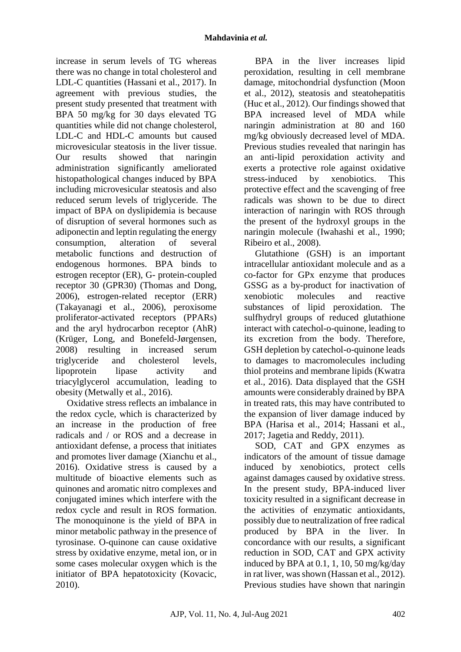increase in serum levels of TG whereas there was no change in total cholesterol and LDL-C quantities (Hassani et al., 2017). In agreement with previous studies, the present study presented that treatment with BPA 50 mg/kg for 30 days elevated TG quantities while did not change cholesterol, LDL-C and HDL-C amounts but caused microvesicular steatosis in the liver tissue. Our results showed that naringin administration significantly ameliorated histopathological changes induced by BPA including microvesicular steatosis and also reduced serum levels of triglyceride. The impact of BPA on dyslipidemia is because of disruption of several hormones such as adiponectin and leptin regulating the energy consumption, alteration of several metabolic functions and destruction of endogenous hormones. BPA binds to estrogen receptor (ER), G- protein-coupled receptor 30 (GPR30) (Thomas and Dong, 2006), estrogen-related receptor (ERR) (Takayanagi et al., 2006), peroxisome proliferator-activated receptors (PPARs) and the aryl hydrocarbon receptor (AhR) (Krüger, Long, and Bonefeld-Jørgensen, 2008) resulting in increased serum triglyceride and cholesterol levels, lipoprotein lipase activity and triacylglycerol accumulation, leading to obesity (Metwally et al., 2016).

Oxidative stress reflects an imbalance in the redox cycle, which is characterized by an increase in the production of free radicals and / or ROS and a decrease in antioxidant defense, a process that initiates and promotes liver damage (Xianchu et al., 2016). Oxidative stress is caused by a multitude of bioactive elements such as quinones and aromatic nitro complexes and conjugated imines which interfere with the redox cycle and result in ROS formation. The monoquinone is the yield of BPA in minor metabolic pathway in the presence of tyrosinase. O-quinone can cause oxidative stress by [oxidative enzyme,](https://www.sciencedirect.com/topics/pharmacology-toxicology-and-pharmaceutical-science/oxidoreductase) [metal ion,](https://www.sciencedirect.com/topics/pharmacology-toxicology-and-pharmaceutical-science/metal-ion) or in some cases molecular oxygen which is the initiator of BPA hepatotoxicity (Kovacic, 2010).

BPA in the liver increases lipid peroxidation, resulting in cell membrane damage, mitochondrial dysfunction (Moon et al., 2012), steatosis and steatohepatitis (Huc et al., 2012). Our findings showed that BPA increased level of MDA while naringin administration at 80 and 160 mg/kg obviously decreased level of MDA. Previous studies revealed that naringin has an anti-lipid peroxidation activity and exerts a protective role against oxidative stress-induced by xenobiotics. This protective effect and the scavenging of free radicals was shown to be due to direct interaction of naringin with ROS through the present of the hydroxyl groups in the naringin molecule (Iwahashi et al., 1990; Ribeiro et al., 2008).

Glutathione (GSH) is an important intracellular antioxidant molecule and as a co-factor for GPx enzyme that produces GSSG as a by-product for inactivation of xenobiotic molecules and reactive substances of lipid peroxidation. The sulfhydryl groups of reduced glutathione interact with catechol-o-quinone, leading to its excretion from the body. Therefore, GSH depletion by catechol-o-quinone leads to damages to macromolecules including thiol proteins and membrane lipids (Kwatra et al., 2016). Data displayed that the GSH amounts were considerably drained by BPA in treated rats, this may have contributed to the expansion of liver damage induced by BPA (Harisa et al., 2014; Hassani et al., 2017; Jagetia and Reddy, 2011).

SOD, CAT and GPX enzymes as indicators of the amount of tissue damage induced by xenobiotics, protect cells against damages caused by oxidative stress. In the present study, BPA-induced liver toxicity resulted in a significant decrease in the activities of enzymatic antioxidants, possibly due to neutralization of free radical produced by BPA in the liver. In concordance with our results, a significant reduction in SOD, CAT and GPX activity induced by BPA at  $0.1$ ,  $1$ ,  $10$ ,  $50$  mg/kg/day in rat liver, was shown (Hassan et al., 2012). Previous studies have shown that naringin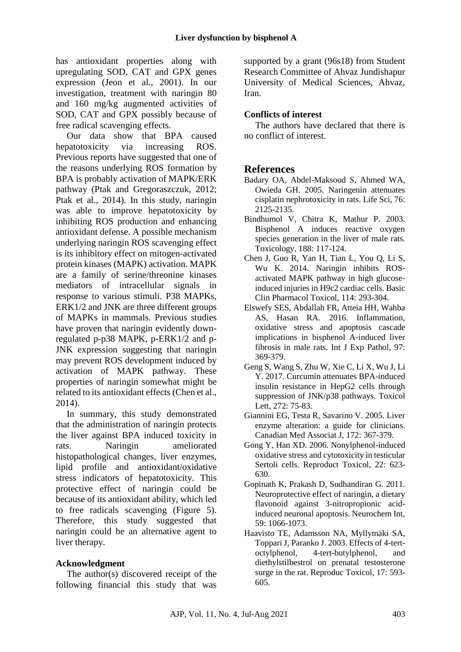has antioxidant properties along with upregulating SOD, CAT and GPX genes expression (Jeon et al., 2001). In our investigation, treatment with naringin 80 and 160 mg/kg augmented activities of SOD, CAT and GPX possibly because of free radical scavenging effects.

Our data show that BPA caused hepatotoxicity via increasing ROS. Previous reports have suggested that one of the reasons underlying ROS formation by BPA is probably activation of MAPK/ERK pathway (Ptak and Gregoraszczuk, 2012; Ptak et al., 2014). In this study, naringin was able to improve hepatotoxicity by inhibiting ROS production and enhancing antioxidant defense. A possible mechanism underlying naringin ROS scavenging effect is its inhibitory effect on mitogen-activated protein kinases (MAPK) activation. MAPK are a family of serine/threonine kinases mediators of intracellular signals in response to various stimuli. P38 MAPKs, ERK1/2 and JNK are three different groups of MAPKs in mammals. Previous studies have proven that naringin evidently downregulated p-p38 MAPK, p-ERK1/2 and p-JNK expression suggesting that naringin may prevent ROS development induced by activation of MAPK pathway. These properties of naringin somewhat might be related to its antioxidant effects (Chen et al., 2014).

In summary, this study demonstrated that the administration of naringin protects the liver against BPA induced toxicity in rats. Naringin ameliorated histopathological changes, liver enzymes, lipid profile and antioxidant/oxidative stress indicators of hepatotoxicity. This protective effect of naringin could be because of its antioxidant ability, which led to free radicals scavenging (Figure 5). Therefore, this study suggested that naringin could be an alternative agent to liver therapy.

## **Acknowledgment**

The author(s) discovered receipt of the following financial this study that was

supported by a grant (96s18) from Student Research Committee of Ahvaz Jundishapur University of Medical Sciences, Ahvaz, Iran.

## **Conflicts of interest**

The authors have declared that there is no conflict of interest.

# **References**

- Badary OA, Abdel-Maksoud S, Ahmed WA, Owieda GH. 2005. Naringenin attenuates cisplatin nephrotoxicity in rats. Life Sci, 76: 2125-2135.
- Bindhumol V, Chitra K, Mathur P. 2003. Bisphenol A induces reactive oxygen species generation in the liver of male rats. Toxicology, 188: 117-124.
- Chen J, Guo R, Yan H, Tian L, You Q, Li S, Wu K. 2014. Naringin inhibits ROS‐ activated MAPK pathway in high glucose‐ induced injuries in H9c2 cardiac cells. Basic Clin Pharmacol Toxicol, 114: 293-304.
- Elswefy SES, Abdallah FR, Atteia HH, Wahba AS, Hasan RA. 2016. Inflammation, oxidative stress and apoptosis cascade implications in bisphenol A‐induced liver fibrosis in male rats. Int J Exp Pathol, 97: 369-379.
- Geng S, Wang S, Zhu W, Xie C, Li X, Wu J, Li Y. 2017. Curcumin attenuates BPA-induced insulin resistance in HepG2 cells through suppression of JNK/p38 pathways. Toxicol Lett, 272: 75-83.
- Giannini EG, Testa R, Savarino V. 2005. Liver enzyme alteration: a guide for clinicians. Canadian Med Associat J, 172: 367-379.
- Gong Y, Han XD. 2006. Nonylphenol-induced oxidative stress and cytotoxicity in testicular Sertoli cells. Reproduct Toxicol, 22: 623- 630.
- Gopinath K, Prakash D, Sudhandiran G. 2011. Neuroprotective effect of naringin, a dietary flavonoid against 3-nitropropionic acidinduced neuronal apoptosis. Neurochem Int, 59: 1066-1073.
- Haavisto TE, Adamsson NA, Myllymäki SA, Toppari J, Paranko J. 2003. Effects of 4-tertoctylphenol, 4-tert-butylphenol, and diethylstilbestrol on prenatal testosterone surge in the rat. Reproduc Toxicol, 17: 593- 605.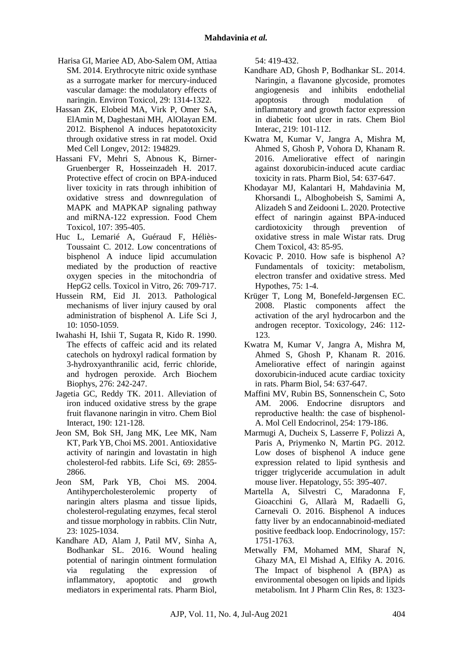- Harisa GI, Mariee AD, Abo-Salem OM, Attiaa SM. 2014. Erythrocyte nitric oxide synthase as a surrogate marker for mercury-induced vascular damage: the modulatory effects of naringin. Environ Toxicol, 29: 1314-1322.
- Hassan ZK, Elobeid MA, Virk P, Omer SA, ElAmin M, Daghestani MH, AlOlayan EM. 2012. Bisphenol A induces hepatotoxicity through oxidative stress in rat model. Oxid Med Cell Longev, 2012: 194829.
- Hassani FV, Mehri S, Abnous K, Birner-Gruenberger R, Hosseinzadeh H. 2017. Protective effect of crocin on BPA-induced liver toxicity in rats through inhibition of oxidative stress and downregulation of MAPK and MAPKAP signaling pathway and miRNA-122 expression. Food Chem Toxicol, 107: 395-405.
- Huc L, Lemarié A, Guéraud F, Héliès-Toussaint C. 2012. Low concentrations of bisphenol A induce lipid accumulation mediated by the production of reactive oxygen species in the mitochondria of HepG2 cells. Toxicol in Vitro, 26: 709-717.
- Hussein RM, Eid JI. 2013. Pathological mechanisms of liver injury caused by oral administration of bisphenol A. Life Sci J, 10: 1050-1059.
- Iwahashi H, Ishii T, Sugata R, Kido R. 1990. The effects of caffeic acid and its related catechols on hydroxyl radical formation by 3-hydroxyanthranilic acid, ferric chloride, and hydrogen peroxide. Arch Biochem Biophys, 276: 242-247.
- Jagetia GC, Reddy TK. 2011. Alleviation of iron induced oxidative stress by the grape fruit flavanone naringin in vitro. Chem Biol Interact, 190: 121-128.
- Jeon SM, Bok SH, Jang MK, Lee MK, Nam KT, Park YB, Choi MS. 2001. Antioxidative activity of naringin and lovastatin in high cholesterol-fed rabbits. Life Sci, 69: 2855- 2866.
- Jeon SM, Park YB, Choi MS. 2004. Antihypercholesterolemic property of naringin alters plasma and tissue lipids, cholesterol-regulating enzymes, fecal sterol and tissue morphology in rabbits. Clin Nutr, 23: 1025-1034.
- Kandhare AD, Alam J, Patil MV, Sinha A, Bodhankar SL. 2016. Wound healing potential of naringin ointment formulation via regulating the expression of inflammatory, apoptotic and growth mediators in experimental rats. Pharm Biol,

54: 419-432.

- Kandhare AD, Ghosh P, Bodhankar SL. 2014. Naringin, a flavanone glycoside, promotes angiogenesis and inhibits endothelial apoptosis through modulation of inflammatory and growth factor expression in diabetic foot ulcer in rats. Chem Biol Interac, 219: 101-112.
- Kwatra M, Kumar V, Jangra A, Mishra M, Ahmed S, Ghosh P, Vohora D, Khanam R. 2016. Ameliorative effect of naringin against doxorubicin-induced acute cardiac toxicity in rats. Pharm Biol, 54: 637-647.
- Khodayar MJ, Kalantari H, Mahdavinia M, Khorsandi L, Alboghobeish S, Samimi A, Alizadeh S and Zeidooni L. 2020. Protective effect of naringin against BPA-induced cardiotoxicity through prevention of oxidative stress in male Wistar rats. Drug Chem Toxicol, 43: 85-95.
- Kovacic P. 2010. How safe is bisphenol A? Fundamentals of toxicity: metabolism, electron transfer and oxidative stress. Med Hypothes, 75: 1-4.
- Krüger T, Long M, Bonefeld-Jørgensen EC. 2008. Plastic components affect the activation of the aryl hydrocarbon and the androgen receptor. Toxicology, 246: 112- 123.
- Kwatra M, Kumar V, Jangra A, Mishra M, Ahmed S, Ghosh P, Khanam R. 2016. Ameliorative effect of naringin against doxorubicin-induced acute cardiac toxicity in rats. Pharm Biol, 54: 637-647.
- Maffini MV, Rubin BS, Sonnenschein C, Soto AM. 2006. Endocrine disruptors and reproductive health: the case of bisphenol-A. Mol Cell Endocrinol, 254: 179-186.
- Marmugi A, Ducheix S, Lasserre F, Polizzi A, Paris A, Priymenko N, Martin PG. 2012. Low doses of bisphenol A induce gene expression related to lipid synthesis and trigger triglyceride accumulation in adult mouse liver. Hepatology, 55: 395-407.
- Martella A, Silvestri C, Maradonna F, Gioacchini G, Allarà M, Radaelli G, Carnevali O. 2016. Bisphenol A induces fatty liver by an endocannabinoid-mediated positive feedback loop. Endocrinology, 157: 1751-1763.
- Metwally FM, Mohamed MM, Sharaf N, Ghazy MA, El Mishad A, Elfiky A. 2016. The Impact of bisphenol A (BPA) as environmental obesogen on lipids and lipids metabolism. Int J Pharm Clin Res, 8: 1323-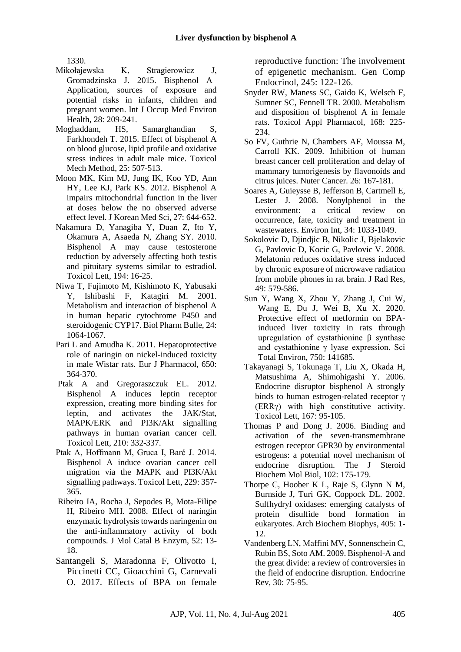1330.

- Mikołajewska K, Stragierowicz J, Gromadzinska J. 2015. Bisphenol A– Application, sources of exposure and potential risks in infants, children and pregnant women. Int J Occup Med Environ Health, 28: 209-241.
- Moghaddam, HS, Samarghandian S, Farkhondeh T. 2015. Effect of bisphenol A on blood glucose, lipid profile and oxidative stress indices in adult male mice. Toxicol Mech Method, 25: 507-513.
- Moon MK, Kim MJ, Jung IK, Koo YD, Ann HY, Lee KJ, Park KS. 2012. Bisphenol A impairs mitochondrial function in the liver at doses below the no observed adverse effect level. J Korean Med Sci, 27: 644-652.
- Nakamura D, Yanagiba Y, Duan Z, Ito Y, Okamura A, Asaeda N, Zhang SY. 2010. Bisphenol A may cause testosterone reduction by adversely affecting both testis and pituitary systems similar to estradiol. Toxicol Lett, 194: 16-25.
- Niwa T, Fujimoto M, Kishimoto K, Yabusaki Y, Ishibashi F, Katagiri M. 2001. Metabolism and interaction of bisphenol A in human hepatic cytochrome P450 and steroidogenic CYP17. Biol Pharm Bulle, 24: 1064-1067.
- Pari L and Amudha K. 2011. Hepatoprotective role of naringin on nickel-induced toxicity in male Wistar rats. Eur J Pharmacol, 650: 364-370.
- Ptak A and Gregoraszczuk EL. 2012. Bisphenol A induces leptin receptor expression, creating more binding sites for leptin, and activates the JAK/Stat, MAPK/ERK and PI3K/Akt signalling pathways in human ovarian cancer cell. Toxicol Lett, 210: 332-337.
- Ptak A, Hoffmann M, Gruca I, Barć J. 2014. Bisphenol A induce ovarian cancer cell migration via the MAPK and PI3K/Akt signalling pathways. Toxicol Lett, 229: 357- 365.
- Ribeiro IA, Rocha J, Sepodes B, Mota-Filipe H, Ribeiro MH. 2008. Effect of naringin enzymatic hydrolysis towards naringenin on the anti-inflammatory activity of both compounds. J Mol Catal B Enzym, 52: 13- 18.
- Santangeli S, Maradonna F, Olivotto I, Piccinetti CC, Gioacchini G, Carnevali O. 2017. Effects of BPA on female

reproductive function: The involvement of epigenetic mechanism. Gen Comp Endocrinol, 245: 122-126.

- Snyder RW, Maness SC, Gaido K, Welsch F, Sumner SC, Fennell TR. 2000. Metabolism and disposition of bisphenol A in female rats. Toxicol Appl Pharmacol, 168: 225- 234.
- So FV, Guthrie N, Chambers AF, Moussa M, Carroll KK. 2009. Inhibition of human breast cancer cell proliferation and delay of mammary tumorigenesis by flavonoids and citrus juices. Nuter Cancer. 26: 167-181.
- Soares A, Guieysse B, Jefferson B, Cartmell E, Lester J. 2008. Nonylphenol in the<br>environment: a critical review on environment: a critical review on occurrence, fate, toxicity and treatment in wastewaters. Environ Int, 34: 1033-1049.
- Sokolovic D, Djindjic B, Nikolic J, Bjelakovic G, Pavlovic D, Kocic G, Pavlovic V. 2008. Melatonin reduces oxidative stress induced by chronic exposure of microwave radiation from mobile phones in rat brain. J Rad Res, 49: 579-586.
- Sun Y, Wang X, Zhou Y, Zhang J, Cui W, Wang E, Du J, Wei B, Xu X. 2020. Protective effect of metformin on BPAinduced liver toxicity in rats through upregulation of cystathionine β synthase and cystathionine γ lyase expression. Sci Total Environ, 750: 141685.
- Takayanagi S, Tokunaga T, Liu X, Okada H, Matsushima A, Shimohigashi Y. 2006. Endocrine disruptor bisphenol A strongly binds to human estrogen-related receptor γ (ERRγ) with high constitutive activity. Toxicol Lett, 167: 95-105.
- Thomas P and Dong J. 2006. Binding and activation of the seven-transmembrane estrogen receptor GPR30 by environmental estrogens: a potential novel mechanism of endocrine disruption. The J Steroid Biochem Mol Biol, 102: 175-179.
- Thorpe C, Hoober K L, Raje S, Glynn N M, Burnside J, Turi GK, Coppock DL. 2002. Sulfhydryl oxidases: emerging catalysts of protein disulfide bond formation in eukaryotes. Arch Biochem Biophys, 405: 1- 12.
- Vandenberg LN, Maffini MV, Sonnenschein C, Rubin BS, Soto AM. 2009. Bisphenol-A and the great divide: a review of controversies in the field of endocrine disruption. Endocrine Rev, 30: 75-95.